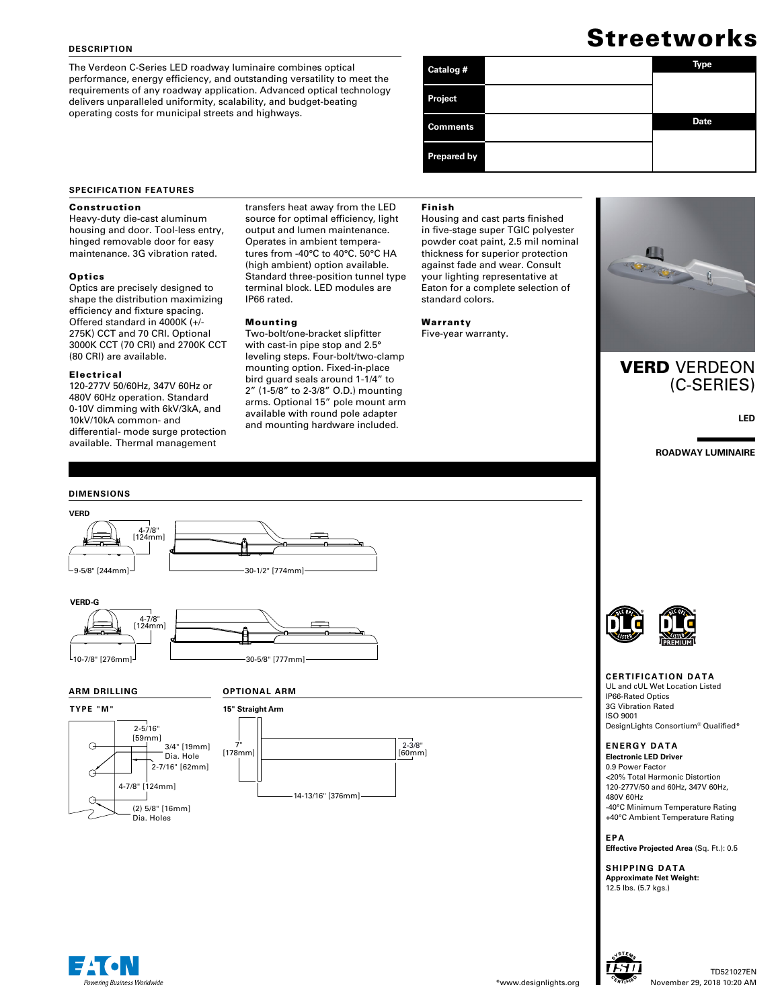#### **DESCRIPTION**

The Verdeon C-Series LED roadway luminaire combines optical performance, energy efficiency, and outstanding versatility to meet the requirements of any roadway application. Advanced optical technology delivers unparalleled uniformity, scalability, and budget-beating operating costs for municipal streets and highways.

# **Streetworks**

| Catalog #          | Type        |
|--------------------|-------------|
| Project            |             |
| <b>Comments</b>    | <b>Date</b> |
| <b>Prepared by</b> |             |

#### **SPECIFICATION FEATURES**

#### Construction

Heavy-duty die-cast aluminum housing and door. Tool-less entry, hinged removable door for easy maintenance. 3G vibration rated.

#### **Optics**

Optics are precisely designed to shape the distribution maximizing efficiency and fixture spacing. Offered standard in 4000K (+/- 275K) CCT and 70 CRI. Optional 3000K CCT (70 CRI) and 2700K CCT (80 CRI) are available.

#### Electrical

120-277V 50/60Hz, 347V 60Hz or 480V 60Hz operation. Standard 0-10V dimming with 6kV/3kA, and 10kV/10kA common- and differential- mode surge protection available. Thermal management

#### transfers heat away from the LED source for optimal efficiency, light output and lumen maintenance. Operates in ambient temperatures from -40°C to 40°C. 50°C HA (high ambient) option available. Standard three-position tunnel type terminal block. LED modules are IP66 rated.

#### Mounting

Two-bolt/one-bracket slipfitter with cast-in pipe stop and 2.5° leveling steps. Four-bolt/two-clamp mounting option. Fixed-in-place bird guard seals around 1-1/4" to 2" (1-5/8" to 2-3/8" O.D.) mounting arms. Optional 15" pole mount arm available with round pole adapter and mounting hardware included.

#### Finish

Housing and cast parts finished in five-stage super TGIC polyester powder coat paint, 2.5 mil nominal thickness for superior protection against fade and wear. Consult your lighting representative at Eaton for a complete selection of standard colors.

#### Warranty

Five-year warranty.



## VERD VERDEON (C-SERIES)

**LED**

**ROADWAY LUMINAIRE**





Dia. Hole

(2) 5/8" [16mm] Dia. Holes

4-7/8" [124mm]

2-5/16" [59mm]



# 10-7/8" [276mm] 30-5/8" [777mm]

#### **ARM DRILLING**

**TYPE "M"**

 $\Theta$ 

G







#### **CERTIFICATION DATA**

IP66-Rated Optics 3G Vibration Rated ISO 9001 DesignLights Consortium® Qualified\*

# **ENERGY DATA**

0.9 Power Factor <20% Total Harmonic Distortion 120-277V/50 and 60Hz, 347V 60Hz, 480V 60Hz -40°C Minimum Temperature Rating

+40°C Ambient Temperature Rating

#### **EPA**

**Effective Projected Area** (Sq. Ft.): 0.5

**SHIPPING DATA Approximate Net Weight:**  12.5 lbs. (5.7 kgs.)





UL and cUL Wet Location Listed

# **Electronic LED Driver**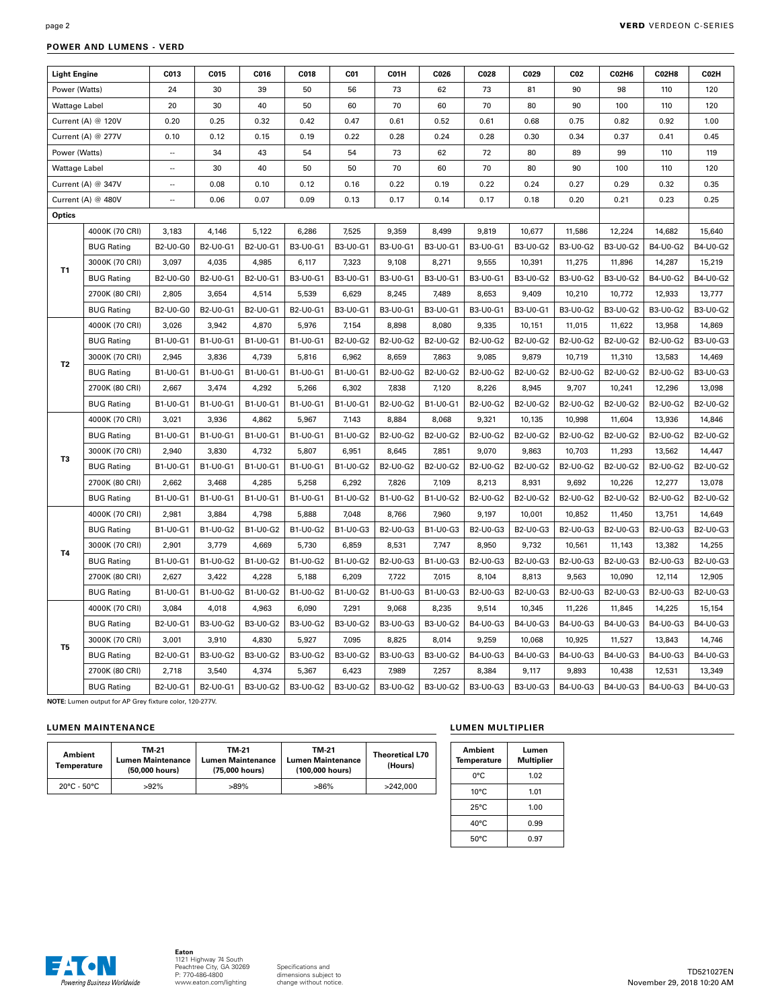| <b>Light Engine</b><br>Power (Watts) |                    | C013                     | C015     | C016     | C018            | C01             | C01H            | C026     | C028     | C029            | CO <sub>2</sub><br>90 | C02H6           | <b>C02H8</b>    | C02H            |
|--------------------------------------|--------------------|--------------------------|----------|----------|-----------------|-----------------|-----------------|----------|----------|-----------------|-----------------------|-----------------|-----------------|-----------------|
|                                      |                    | 24                       | 30       | 39       | 50              | 56              | 73              | 62       | 73       | 81              |                       | 98              | 110             | 120             |
| <b>Wattage Label</b>                 |                    | 20                       | 30       | 40       | 50              | 60              | 70              | 60       | 70       | 80              | 90                    | 100             | 110             | 120             |
|                                      | Current (A) @ 120V | 0.20                     | 0.25     | 0.32     | 0.42            | 0.47            | 0.61            | 0.52     | 0.61     | 0.68            | 0.75                  | 0.82            | 0.92            | 1.00            |
|                                      | Current (A) @ 277V | 0.10                     | 0.12     | 0.15     | 0.19            | 0.22            | 0.28            | 0.24     | 0.28     | 0.30            | 0.34                  | 0.37            | 0.41            | 0.45            |
| Power (Watts)                        |                    | $\overline{\phantom{a}}$ | 34       | 43       | 54              | 54              | 73              | 62       | 72       | 80              | 89                    | 99              | 110             | 119             |
| Wattage Label                        |                    | $\sim$                   | 30       | 40       | 50              | 50              | 70              | 60       | 70       | 80              | 90                    | 100             | 110             | 120             |
| Current (A) @ 347V                   |                    | $\cdots$                 | 0.08     | 0.10     | 0.12            | 0.16            | 0.22            | 0.19     | 0.22     | 0.24            | 0.27                  | 0.29            | 0.32            | 0.35            |
| Current (A) @ 480V                   |                    | Ξ.                       | 0.06     | 0.07     | 0.09            | 0.13            | 0.17            | 0.14     | 0.17     | 0.18            | 0.20                  | 0.21            | 0.23            | 0.25            |
| Optics                               |                    |                          |          |          |                 |                 |                 |          |          |                 |                       |                 |                 |                 |
|                                      | 4000K (70 CRI)     | 3,183                    | 4,146    | 5,122    | 6,286           | 7,525           | 9,359           | 8,499    | 9,819    | 10,677          | 11,586                | 12,224          | 14,682          | 15,640          |
|                                      | <b>BUG Rating</b>  | <b>B2-U0-G0</b>          | B2-U0-G1 | B2-U0-G1 | <b>B3-U0-G1</b> | B3-U0-G1        | B3-U0-G1        | B3-U0-G1 | B3-U0-G1 | <b>B3-U0-G2</b> | B3-U0-G2              | B3-U0-G2        | B4-U0-G2        | B4-U0-G2        |
| T <sub>1</sub>                       | 3000K (70 CRI)     | 3,097                    | 4,035    | 4,985    | 6,117           | 7,323           | 9,108           | 8,271    | 9,555    | 10,391          | 11,275                | 11,896          | 14,287          | 15,219          |
|                                      | <b>BUG Rating</b>  | B2-U0-G0                 | B2-U0-G1 | B2-U0-G1 | B3-U0-G1        | B3-U0-G1        | B3-U0-G1        | B3-U0-G1 | B3-U0-G1 | B3-U0-G2        | B3-U0-G2              | <b>B3-U0-G2</b> | B4-U0-G2        | B4-U0-G2        |
|                                      | 2700K (80 CRI)     | 2,805                    | 3,654    | 4,514    | 5,539           | 6,629           | 8,245           | 7,489    | 8,653    | 9,409           | 10,210                | 10,772          | 12,933          | 13,777          |
|                                      | <b>BUG Rating</b>  | <b>B2-U0-G0</b>          | B2-U0-G1 | B2-U0-G1 | B2-U0-G1        | B3-U0-G1        | B3-U0-G1        | B3-U0-G1 | B3-U0-G1 | B3-U0-G1        | B3-U0-G2              | <b>B3-U0-G2</b> | <b>B3-U0-G2</b> | <b>B3-U0-G2</b> |
|                                      | 4000K (70 CRI)     | 3,026                    | 3,942    | 4,870    | 5,976           | 7,154           | 8,898           | 8,080    | 9,335    | 10,151          | 11,015                | 11,622          | 13,958          | 14,869          |
|                                      | <b>BUG Rating</b>  | B1-U0-G1                 | B1-U0-G1 | B1-U0-G1 | B1-U0-G1        | <b>B2-U0-G2</b> | <b>B2-U0-G2</b> | B2-U0-G2 | B2-U0-G2 | B2-U0-G2        | B2-U0-G2              | B2-U0-G2        | <b>B2-U0-G2</b> | <b>B3-U0-G3</b> |
| T <sub>2</sub>                       | 3000K (70 CRI)     | 2,945                    | 3,836    | 4,739    | 5,816           | 6,962           | 8,659           | 7,863    | 9,085    | 9,879           | 10,719                | 11,310          | 13,583          | 14,469          |
|                                      | <b>BUG Rating</b>  | B1-U0-G1                 | B1-U0-G1 | B1-U0-G1 | B1-U0-G1        | B1-U0-G1        | B2-U0-G2        | B2-U0-G2 | B2-U0-G2 | B2-U0-G2        | B2-U0-G2              | B2-U0-G2        | B2-U0-G2        | B3-U0-G3        |
|                                      | 2700K (80 CRI)     | 2,667                    | 3,474    | 4,292    | 5,266           | 6,302           | 7,838           | 7,120    | 8,226    | 8,945           | 9,707                 | 10,241          | 12,296          | 13,098          |
|                                      | <b>BUG Rating</b>  | B1-U0-G1                 | B1-U0-G1 | B1-U0-G1 | B1-U0-G1        | B1-U0-G1        | B2-U0-G2        | B1-U0-G1 | B2-U0-G2 | <b>B2-U0-G2</b> | B2-U0-G2              | B2-U0-G2        | <b>B2-U0-G2</b> | B2-U0-G2        |
|                                      | 4000K (70 CRI)     | 3,021                    | 3,936    | 4,862    | 5,967           | 7,143           | 8,884           | 8,068    | 9,321    | 10,135          | 10,998                | 11,604          | 13,936          | 14,846          |
|                                      | <b>BUG Rating</b>  | B1-U0-G1                 | B1-U0-G1 | B1-U0-G1 | B1-U0-G1        | B1-U0-G2        | B2-U0-G2        | B2-U0-G2 | B2-U0-G2 | <b>B2-U0-G2</b> | B2-U0-G2              | B2-U0-G2        | B2-U0-G2        | B2-U0-G2        |
| T <sub>3</sub>                       | 3000K (70 CRI)     | 2,940                    | 3,830    | 4,732    | 5,807           | 6,951           | 8,645           | 7,851    | 9,070    | 9,863           | 10,703                | 11,293          | 13,562          | 14,447          |
|                                      | <b>BUG Rating</b>  | B1-U0-G1                 | B1-U0-G1 | B1-U0-G1 | B1-U0-G1        | B1-U0-G2        | B2-U0-G2        | B2-U0-G2 | B2-U0-G2 | <b>B2-U0-G2</b> | B2-U0-G2              | <b>B2-U0-G2</b> | <b>B2-U0-G2</b> | B2-U0-G2        |
|                                      | 2700K (80 CRI)     | 2,662                    | 3,468    | 4,285    | 5,258           | 6,292           | 7,826           | 7,109    | 8,213    | 8,931           | 9,692                 | 10,226          | 12,277          | 13,078          |
|                                      | <b>BUG Rating</b>  | B1-U0-G1                 | B1-U0-G1 | B1-U0-G1 | B1-U0-G1        | B1-U0-G2        | B1-U0-G2        | B1-U0-G2 | B2-U0-G2 | <b>B2-U0-G2</b> | B2-U0-G2              | <b>B2-U0-G2</b> | <b>B2-U0-G2</b> | <b>B2-U0-G2</b> |
|                                      | 4000K (70 CRI)     | 2,981                    | 3,884    | 4,798    | 5,888           | 7,048           | 8,766           | 7,960    | 9,197    | 10,001          | 10,852                | 11,450          | 13,751          | 14,649          |
|                                      | <b>BUG Rating</b>  | B1-U0-G1                 | B1-U0-G2 | B1-U0-G2 | B1-U0-G2        | B1-U0-G3        | B2-U0-G3        | B1-U0-G3 | B2-U0-G3 | B2-U0-G3        | B2-U0-G3              | B2-U0-G3        | B2-U0-G3        | <b>B2-U0-G3</b> |
| T4                                   | 3000K (70 CRI)     | 2,901                    | 3,779    | 4,669    | 5,730           | 6,859           | 8,531           | 7,747    | 8,950    | 9,732           | 10,561                | 11,143          | 13,382          | 14,255          |
|                                      | <b>BUG Rating</b>  | B1-U0-G1                 | B1-U0-G2 | B1-U0-G2 | B1-U0-G2        | B1-U0-G2        | B2-U0-G3        | B1-U0-G3 | B2-U0-G3 | B2-U0-G3        | B2-U0-G3              | B2-U0-G3        | B2-U0-G3        | B2-U0-G3        |
|                                      | 2700K (80 CRI)     | 2,627                    | 3,422    | 4,228    | 5,188           | 6,209           | 7,722           | 7,015    | 8,104    | 8,813           | 9,563                 | 10,090          | 12,114          | 12,905          |
|                                      | <b>BUG Rating</b>  | B1-U0-G1                 | B1-U0-G2 | B1-U0-G2 | B1-U0-G2        | B1-U0-G2        | B1-U0-G3        | B1-U0-G3 | B2-U0-G3 | B2-U0-G3        | B2-U0-G3              | B2-U0-G3        | B2-U0-G3        | B2-U0-G3        |
|                                      | 4000K (70 CRI)     | 3,084                    | 4,018    | 4,963    | 6,090           | 7,291           | 9,068           | 8,235    | 9,514    | 10,345          | 11,226                | 11,845          | 14,225          | 15,154          |
|                                      | <b>BUG Rating</b>  | B2-U0-G1                 | B3-U0-G2 | B3-U0-G2 | B3-U0-G2        | <b>B3-U0-G2</b> | B3-U0-G3        | B3-U0-G2 | B4-U0-G3 | B4-U0-G3        | B4-U0-G3              | B4-U0-G3        | B4-U0-G3        | B4-U0-G3        |
|                                      | 3000K (70 CRI)     | 3,001                    | 3,910    | 4,830    | 5,927           | 7,095           | 8,825           | 8,014    | 9,259    | 10,068          | 10,925                | 11,527          | 13,843          | 14,746          |
| T <sub>5</sub>                       | <b>BUG Rating</b>  | B2-U0-G1                 | B3-U0-G2 | B3-U0-G2 | B3-U0-G2        | B3-U0-G2        | B3-U0-G3        | B3-U0-G2 | B4-U0-G3 | B4-U0-G3        | B4-U0-G3              | B4-U0-G3        | B4-U0-G3        | B4-U0-G3        |
|                                      | 2700K (80 CRI)     | 2,718                    | 3,540    | 4,374    | 5,367           | 6,423           | 7.989           | 7,257    | 8.384    | 9,117           | 9,893                 | 10,438          | 12,531          | 13,349          |
|                                      | <b>BUG Rating</b>  | B2-U0-G1                 | B2-U0-G1 | B3-U0-G2 | B3-U0-G2        | B3-U0-G2        | B3-U0-G2        | B3-U0-G2 | B3-U0-G3 | B3-U0-G3        | B4-U0-G3              | B4-U0-G3        | B4-U0-G3        | B4-U0-G3        |

#### **POWER AND LUMENS - VERD**

**NOTE:** Lumen output for AP Grey fixture color, 120-277V.

### **LUMEN MAINTENANCE LUMEN MULTIPLIER**

| <b>Ambient</b><br>Temperature    | TM-21<br><b>Lumen Maintenance</b><br>(50,000 hours) | TM-21<br><b>Lumen Maintenance</b><br>(75,000 hours) | TM-21<br><b>Lumen Maintenance</b><br>(100,000 hours) | <b>Theoretical L70</b><br>(Hours) |
|----------------------------------|-----------------------------------------------------|-----------------------------------------------------|------------------------------------------------------|-----------------------------------|
| $20^{\circ}$ C - 50 $^{\circ}$ C | $>92\%$                                             | $>89\%$                                             | >86%                                                 | >242.000                          |

| Ambient<br><b>Temperature</b> | Lumen<br>Multiplier |
|-------------------------------|---------------------|
| 0°C                           | 1.02                |
| $10^{\circ}$ C                | 1.01                |
| $25^{\circ}$ C                | 1.00                |
| $40^{\circ}$ C                | 0.99                |
| $50^{\circ}$ C                | 0.97                |

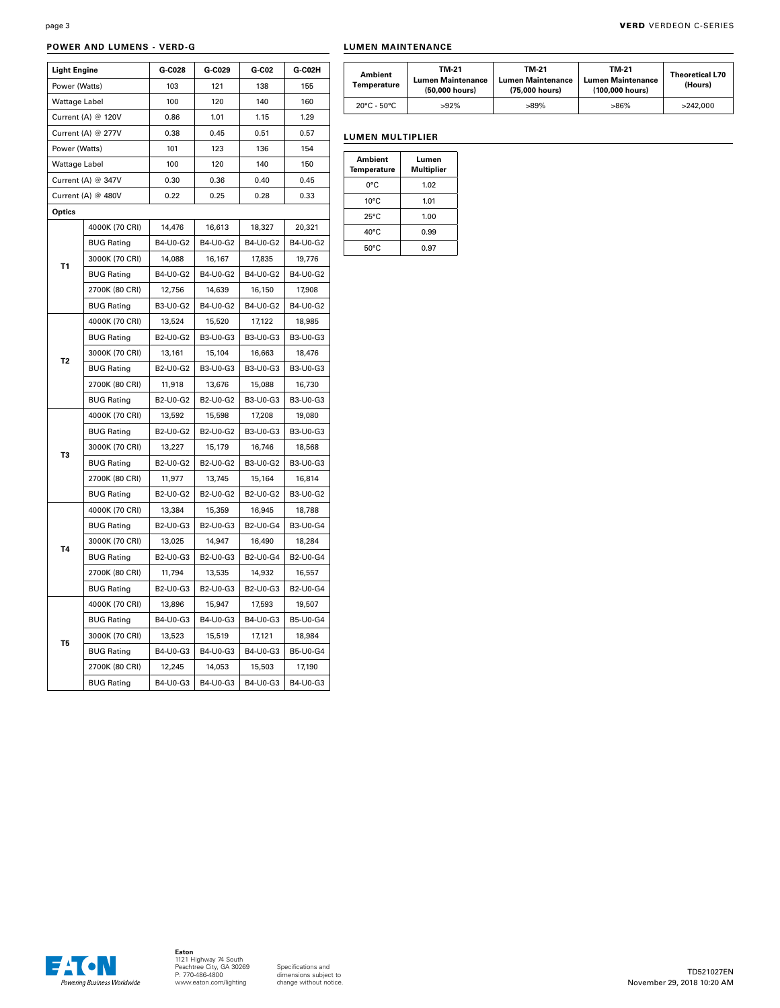#### **POWER AND LUMENS - VERD-G**

| <b>Light Engine</b> |                    | G-C028   | G-C029   | G-C02    | G-C02H   |
|---------------------|--------------------|----------|----------|----------|----------|
| Power (Watts)       |                    | 103      | 121      | 138      | 155      |
| Wattage Label       |                    | 100      | 120      | 140      | 160      |
|                     | Current (A) @ 120V |          | 1.01     | 1.15     | 1.29     |
| Current (A) @ 277V  |                    | 0.38     | 0.45     | 0.51     | 0.57     |
| Power (Watts)       |                    | 101      | 123      | 136      | 154      |
|                     | Wattage Label      |          | 120      | 140      | 150      |
|                     | Current (A) @ 347V | 0.30     | 0.36     | 0.40     | 0.45     |
| Current (A) @ 480V  |                    | 0.22     | 0.25     | 0.28     | 0.33     |
| Optics              |                    |          |          |          |          |
|                     | 4000K (70 CRI)     | 14,476   | 16,613   | 18,327   | 20,321   |
|                     | <b>BUG Rating</b>  | B4-U0-G2 | B4-U0-G2 | B4-U0-G2 | B4-U0-G2 |
| Τ1                  | 3000K (70 CRI)     | 14,088   | 16,167   | 17,835   | 19,776   |
|                     | <b>BUG Rating</b>  | B4-U0-G2 | B4-U0-G2 | B4-U0-G2 | B4-U0-G2 |
|                     | 2700K (80 CRI)     | 12,756   | 14,639   | 16,150   | 17,908   |
|                     | <b>BUG Rating</b>  | B3-U0-G2 | B4-U0-G2 | B4-U0-G2 | B4-U0-G2 |
|                     | 4000K (70 CRI)     | 13,524   | 15,520   | 17,122   | 18,985   |
|                     | <b>BUG Rating</b>  | B2-U0-G2 | B3-U0-G3 | B3-U0-G3 | B3-U0-G3 |
| T <sub>2</sub>      | 3000K (70 CRI)     | 13,161   | 15,104   | 16,663   | 18,476   |
|                     | <b>BUG Rating</b>  | B2-U0-G2 | B3-U0-G3 | B3-U0-G3 | B3-U0-G3 |
|                     | 2700K (80 CRI)     | 11,918   | 13,676   | 15,088   | 16,730   |
|                     | <b>BUG Rating</b>  | B2-U0-G2 | B2-U0-G2 | B3-U0-G3 | B3-U0-G3 |
|                     | 4000K (70 CRI)     | 13,592   | 15,598   | 17,208   | 19,080   |
|                     | <b>BUG Rating</b>  | B2-U0-G2 | B2-U0-G2 | B3-U0-G3 | B3-U0-G3 |
| T3                  | 3000K (70 CRI)     | 13,227   | 15,179   | 16,746   | 18,568   |
|                     | <b>BUG Rating</b>  | B2-U0-G2 | B2-U0-G2 | B3-U0-G2 | B3-U0-G3 |
|                     | 2700K (80 CRI)     | 11,977   | 13,745   | 15,164   | 16,814   |
|                     | <b>BUG Rating</b>  | B2-U0-G2 | B2-U0-G2 | B2-U0-G2 | B3-U0-G2 |
|                     | 4000K (70 CRI)     | 13,384   | 15,359   | 16,945   | 18,788   |
|                     | <b>BUG Rating</b>  | B2-U0-G3 | B2-U0-G3 | B2-U0-G4 | B3-U0-G4 |
| Τ4                  | 3000K (70 CRI)     | 13,025   | 14,947   | 16,490   | 18,284   |
|                     | <b>BUG Rating</b>  | B2-U0-G3 | B2-U0-G3 | B2-U0-G4 | B2-U0-G4 |
|                     | 2700K (80 CRI)     | 11,794   | 13,535   | 14,932   | 16,557   |
|                     | <b>BUG Rating</b>  | B2-U0-G3 | B2-U0-G3 | B2-U0-G3 | B2-U0-G4 |
|                     | 4000K (70 CRI)     | 13,896   | 15,947   | 17,593   | 19,507   |
|                     | <b>BUG Rating</b>  | B4-U0-G3 | B4-U0-G3 | B4-U0-G3 | B5-U0-G4 |
| T5                  | 3000K (70 CRI)     | 13,523   | 15,519   | 17,121   | 18,984   |
|                     | <b>BUG Rating</b>  | B4-U0-G3 | B4-U0-G3 | B4-U0-G3 | B5-U0-G4 |
|                     | 2700K (80 CRI)     | 12,245   | 14,053   | 15,503   | 17,190   |
|                     | <b>BUG Rating</b>  | B4-U0-G3 | B4-U0-G3 | B4-U0-G3 | B4-U0-G3 |

#### **LUMEN MAINTENANCE**

| <b>Ambient</b><br>Temperature    | TM-21<br><b>Lumen Maintenance</b><br>(50,000 hours) | TM-21<br><b>Lumen Maintenance</b><br>(75,000 hours) | TM-21<br><b>Lumen Maintenance</b><br>(100,000 hours) | <b>Theoretical L70</b><br>(Hours) |
|----------------------------------|-----------------------------------------------------|-----------------------------------------------------|------------------------------------------------------|-----------------------------------|
| $20^{\circ}$ C - 50 $^{\circ}$ C | $>92\%$                                             | >89%                                                | >86%                                                 | >242.000                          |

#### **LUMEN MULTIPLIER**

| Ambient<br>Temperature | Lumen<br><b>Multiplier</b> |  |  |
|------------------------|----------------------------|--|--|
| 0°C                    | 1.02                       |  |  |
| $10^{\circ}$ C         | 1.01                       |  |  |
| $25^{\circ}$ C         | 1.00                       |  |  |
| $40^{\circ}$ C         | 0.99                       |  |  |
| $50^{\circ}$ C         | 0.97                       |  |  |

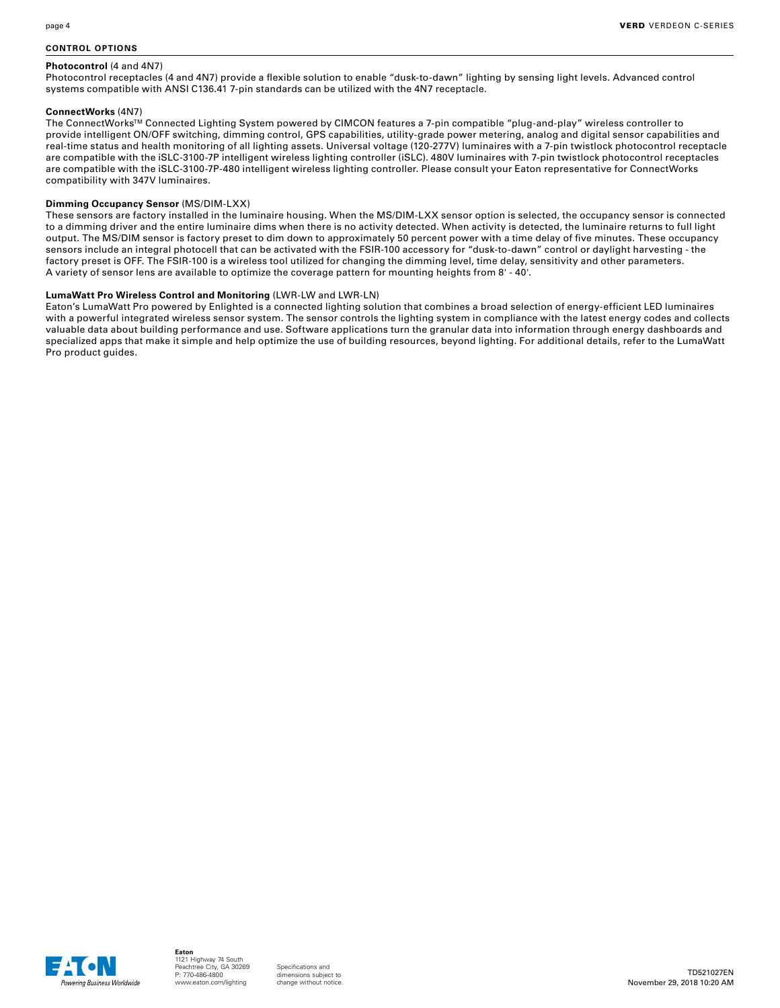#### **CONTROL OPTIONS**

#### **Photocontrol** (4 and 4N7)

Photocontrol receptacles (4 and 4N7) provide a flexible solution to enable "dusk-to-dawn" lighting by sensing light levels. Advanced control systems compatible with ANSI C136.41 7-pin standards can be utilized with the 4N7 receptacle.

#### **ConnectWorks** (4N7)

The ConnectWorks™ Connected Lighting System powered by CIMCON features a 7-pin compatible "plug-and-play" wireless controller to provide intelligent ON/OFF switching, dimming control, GPS capabilities, utility-grade power metering, analog and digital sensor capabilities and real-time status and health monitoring of all lighting assets. Universal voltage (120-277V) luminaires with a 7-pin twistlock photocontrol receptacle are compatible with the iSLC-3100-7P intelligent wireless lighting controller (iSLC). 480V luminaires with 7-pin twistlock photocontrol receptacles are compatible with the iSLC-3100-7P-480 intelligent wireless lighting controller. Please consult your Eaton representative for ConnectWorks compatibility with 347V luminaires.

#### **Dimming Occupancy Sensor** (MS/DIM-LXX)

These sensors are factory installed in the luminaire housing. When the MS/DIM-LXX sensor option is selected, the occupancy sensor is connected to a dimming driver and the entire luminaire dims when there is no activity detected. When activity is detected, the luminaire returns to full light output. The MS/DIM sensor is factory preset to dim down to approximately 50 percent power with a time delay of five minutes. These occupancy sensors include an integral photocell that can be activated with the FSIR-100 accessory for "dusk-to-dawn" control or daylight harvesting - the factory preset is OFF. The FSIR-100 is a wireless tool utilized for changing the dimming level, time delay, sensitivity and other parameters. A variety of sensor lens are available to optimize the coverage pattern for mounting heights from 8' - 40'.

#### **LumaWatt Pro Wireless Control and Monitoring** (LWR-LW and LWR-LN)

Eaton's LumaWatt Pro powered by Enlighted is a connected lighting solution that combines a broad selection of energy-efficient LED luminaires with a powerful integrated wireless sensor system. The sensor controls the lighting system in compliance with the latest energy codes and collects valuable data about building performance and use. Software applications turn the granular data into information through energy dashboards and specialized apps that make it simple and help optimize the use of building resources, beyond lighting. For additional details, refer to the LumaWatt Pro product guides.